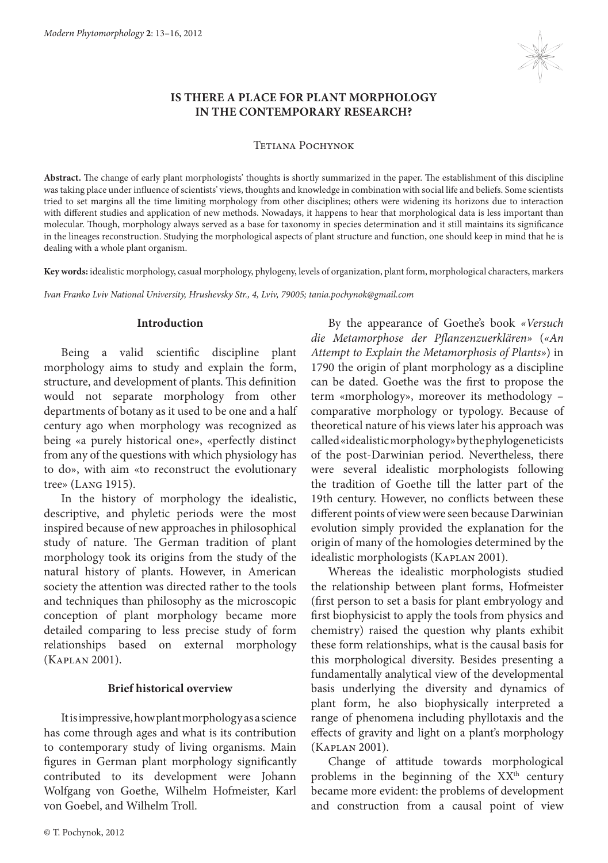

# **IS THERE A PLACE FOR PLANT MORPHOLOGY IN THE CONTEMPORARY RESEARCH?**

#### Tetiana Pochynok

**Abstract.** The change of early plant morphologists' thoughts is shortly summarized in the paper. The establishment of this discipline was taking place under influence of scientists' views, thoughts and knowledge in combination with social life and beliefs. Some scientists tried to set margins all the time limiting morphology from other disciplines; others were widening its horizons due to interaction with different studies and application of new methods. Nowadays, it happens to hear that morphological data is less important than molecular. Though, morphology always served as a base for taxonomy in species determination and it still maintains its significance in the lineages reconstruction. Studying the morphological aspects of plant structure and function, one should keep in mind that he is dealing with a whole plant organism.

**Key words:** idealistic morphology, casual morphology, phylogeny, levels of organization, plant form, morphological characters, markers

*Ivan Franko Lviv National University, Hrushevsky Str., 4, Lviv, 79005; tania.pochynok@gmail.com*

### **Introduction**

Being a valid scientific discipline plant morphology aims to study and explain the form, structure, and development of plants. This definition would not separate morphology from other departments of botany as it used to be one and a half century ago when morphology was recognized as being «a purely historical one», «perfectly distinct from any of the questions with which physiology has to do», with aim «to reconstruct the evolutionary tree» (Lang 1915).

In the history of morphology the idealistic, descriptive, and phyletic periods were the most inspired because of new approaches in philosophical study of nature. The German tradition of plant morphology took its origins from the study of the natural history of plants. However, in American society the attention was directed rather to the tools and techniques than philosophy as the microscopic conception of plant morphology became more detailed comparing to less precise study of form relationships based on external morphology (Kaplan 2001).

## **Brief historical overview**

It is impressive, how plant morphology as a science has come through ages and what is its contribution to contemporary study of living organisms. Main figures in German plant morphology significantly contributed to its development were Johann Wolfgang von Goethe, Wilhelm Hofmeister, Karl von Goebel, and Wilhelm Troll.

By the appearance of Goethe's book *«Versuch die Metamorphose der Pflanzenzuerklären»* (*«An Attempt to Explain the Metamorphosis of Plants»*) in 1790 the origin of plant morphology as a discipline can be dated. Goethe was the first to propose the term «morphology», moreover its methodology – comparative morphology or typology. Because of theoretical nature of his views later his approach was called «idealistic morphology» by the phylogeneticists of the post-Darwinian period. Nevertheless, there were several idealistic morphologists following the tradition of Goethe till the latter part of the 19th century. However, no conflicts between these different points of view were seen because Darwinian evolution simply provided the explanation for the origin of many of the homologies determined by the idealistic morphologists (Kaplan 2001).

Whereas the idealistic morphologists studied the relationship between plant forms, Hofmeister (first person to set a basis for plant embryology and first biophysicist to apply the tools from physics and chemistry) raised the question why plants exhibit these form relationships, what is the causal basis for this morphological diversity. Besides presenting a fundamentally analytical view of the developmental basis underlying the diversity and dynamics of plant form, he also biophysically interpreted a range of phenomena including phyllotaxis and the effects of gravity and light on a plant's morphology (Kaplan 2001).

Change of attitude towards morphological problems in the beginning of the  $XX<sup>th</sup>$  century became more evident: the problems of development and construction from a causal point of view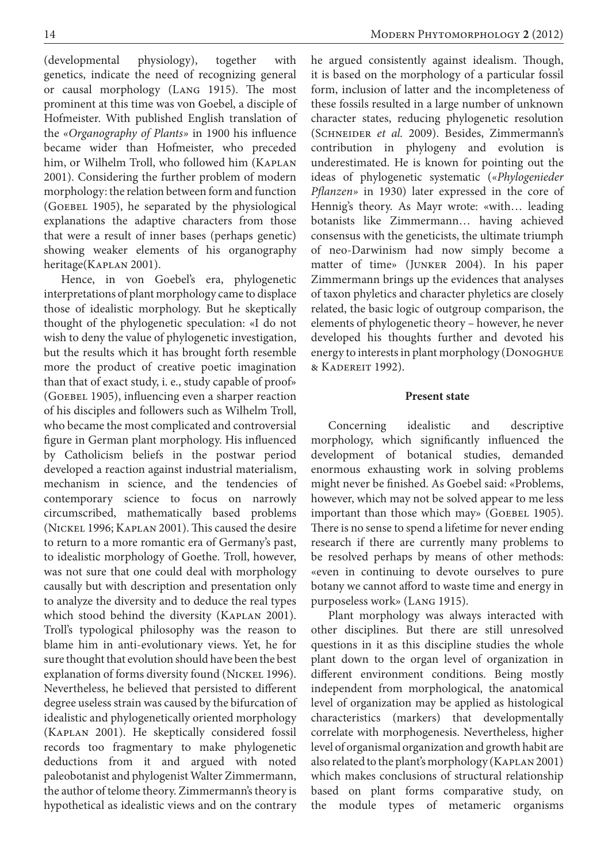(developmental physiology), together with genetics, indicate the need of recognizing general or causal morphology (Lang 1915). The most prominent at this time was von Goebel, a disciple of Hofmeister. With published English translation of the *«Organography of Plants»* in 1900 his influence became wider than Hofmeister, who preceded him, or Wilhelm Troll, who followed him (KAPLAN 2001). Considering the further problem of modern morphology: the relation between form and function (GOEBEL 1905), he separated by the physiological explanations the adaptive characters from those that were a result of inner bases (perhaps genetic) showing weaker elements of his organography heritage(KAPLAN 2001).

Hence, in von Goebel's era, phylogenetic interpretations of plant morphology came to displace those of idealistic morphology. But he skeptically thought of the phylogenetic speculation: «I do not wish to deny the value of phylogenetic investigation, but the results which it has brought forth resemble more the product of creative poetic imagination than that of exact study, i. e., study capable of proof» (GOEBEL 1905), influencing even a sharper reaction of his disciples and followers such as Wilhelm Troll, who became the most complicated and controversial figure in German plant morphology. His influenced by Catholicism beliefs in the postwar period developed a reaction against industrial materialism, mechanism in science, and the tendencies of contemporary science to focus on narrowly circumscribed, mathematically based problems (Nickel 1996; Kaplan 2001). This caused the desire to return to a more romantic era of Germany's past, to idealistic morphology of Goethe. Troll, however, was not sure that one could deal with morphology causally but with description and presentation only to analyze the diversity and to deduce the real types which stood behind the diversity (KAPLAN 2001). Troll's typological philosophy was the reason to blame him in anti-evolutionary views. Yet, he for sure thought that evolution should have been the best explanation of forms diversity found (NICKEL 1996). Nevertheless, he believed that persisted to different degree useless strain was caused by the bifurcation of idealistic and phylogenetically oriented morphology (Kaplan 2001). He skeptically considered fossil records too fragmentary to make phylogenetic deductions from it and argued with noted paleobotanist and phylogenist Walter Zimmermann, the author of telome theory. Zimmermann's theory is hypothetical as idealistic views and on the contrary

he argued consistently against idealism. Though, it is based on the morphology of a particular fossil form, inclusion of latter and the incompleteness of these fossils resulted in a large number of unknown character states, reducing phylogenetic resolution (Schneider *et al.* 2009). Besides, Zimmermann's contribution in phylogeny and evolution is underestimated. He is known for pointing out the ideas of phylogenetic systematic (*«Phylogenieder Pflanzen»* in 1930) later expressed in the core of Hennig's theory. As Mayr wrote: «with… leading botanists like Zimmermann… having achieved consensus with the geneticists, the ultimate triumph of neo-Darwinism had now simply become a matter of time» (Junker 2004). In his paper Zimmermann brings up the evidences that analyses of taxon phyletics and character phyletics are closely related, the basic logic of outgroup comparison, the elements of phylogenetic theory – however, he never developed his thoughts further and devoted his energy to interests in plant morphology (Donoghue & Kadereit 1992).

## **Present state**

Concerning idealistic and descriptive morphology, which significantly influenced the development of botanical studies, demanded enormous exhausting work in solving problems might never be finished. As Goebel said: «Problems, however, which may not be solved appear to me less important than those which may» (GOEBEL 1905). There is no sense to spend a lifetime for never ending research if there are currently many problems to be resolved perhaps by means of other methods: «even in continuing to devote ourselves to pure botany we cannot afford to waste time and energy in purposeless work» (Lang 1915).

Plant morphology was always interacted with other disciplines. But there are still unresolved questions in it as this discipline studies the whole plant down to the organ level of organization in different environment conditions. Being mostly independent from morphological, the anatomical level of organization may be applied as histological characteristics (markers) that developmentally correlate with morphogenesis. Nevertheless, higher level of organismal organization and growth habit are also related to the plant's morphology (Kaplan 2001) which makes conclusions of structural relationship based on plant forms comparative study, on the module types of metameric organisms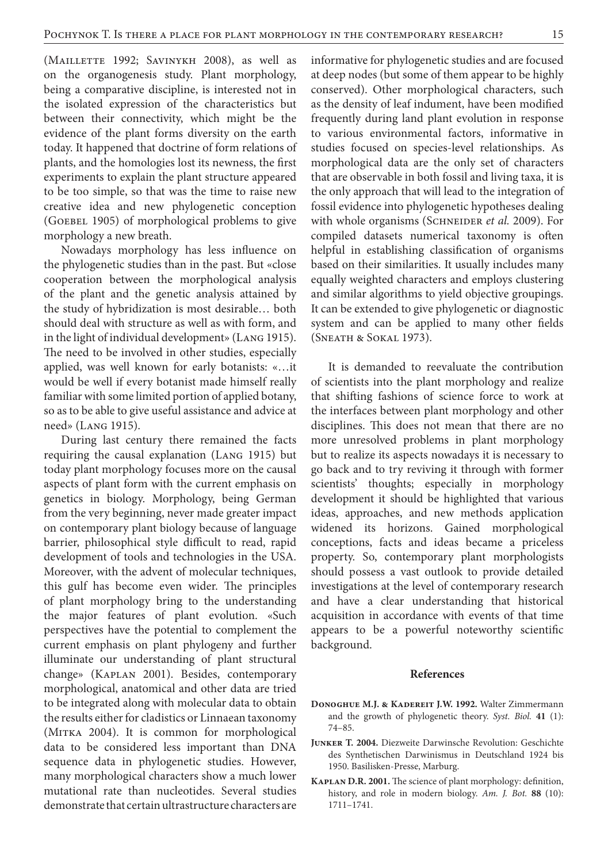(Maillette 1992; Savinykh 2008), as well as on the organogenesis study. Plant morphology, being a comparative discipline, is interested not in the isolated expression of the characteristics but between their connectivity, which might be the evidence of the plant forms diversity on the earth today. It happened that doctrine of form relations of plants, and the homologies lost its newness, the first experiments to explain the plant structure appeared to be too simple, so that was the time to raise new creative idea and new phylogenetic conception (GOEBEL 1905) of morphological problems to give morphology a new breath.

Nowadays morphology has less influence on the phylogenetic studies than in the past. But «close cooperation between the morphological analysis of the plant and the genetic analysis attained by the study of hybridization is most desirable… both should deal with structure as well as with form, and in the light of individual development» (Lang 1915). The need to be involved in other studies, especially applied, was well known for early botanists: «…it would be well if every botanist made himself really familiar with some limited portion of applied botany, so as to be able to give useful assistance and advice at need» (Lang 1915).

During last century there remained the facts requiring the causal explanation (Lang 1915) but today plant morphology focuses more on the causal aspects of plant form with the current emphasis on genetics in biology. Morphology, being German from the very beginning, never made greater impact on contemporary plant biology because of language barrier, philosophical style difficult to read, rapid development of tools and technologies in the USA. Moreover, with the advent of molecular techniques, this gulf has become even wider. The principles of plant morphology bring to the understanding the major features of plant evolution. «Such perspectives have the potential to complement the current emphasis on plant phylogeny and further illuminate our understanding of plant structural change» (Kaplan 2001). Besides, contemporary morphological, anatomical and other data are tried to be integrated along with molecular data to obtain the results either for cladistics or Linnaean taxonomy (MITKA 2004). It is common for morphological data to be considered less important than DNA sequence data in phylogenetic studies. However, many morphological characters show a much lower mutational rate than nucleotides. Several studies demonstrate that certain ultrastructure characters are

informative for phylogenetic studies and are focused at deep nodes (but some of them appear to be highly conserved). Other morphological characters, such as the density of leaf indument, have been modified frequently during land plant evolution in response to various environmental factors, informative in studies focused on species-level relationships. As morphological data are the only set of characters that are observable in both fossil and living taxa, it is the only approach that will lead to the integration of fossil evidence into phylogenetic hypotheses dealing with whole organisms (SCHNEIDER et al. 2009). For compiled datasets numerical taxonomy is often helpful in establishing classification of organisms based on their similarities. It usually includes many equally weighted characters and employs clustering and similar algorithms to yield objective groupings. It can be extended to give phylogenetic or diagnostic system and can be applied to many other fields (Sneath & Sokal 1973).

It is demanded to reevaluate the contribution of scientists into the plant morphology and realize that shifting fashions of science force to work at the interfaces between plant morphology and other disciplines. This does not mean that there are no more unresolved problems in plant morphology but to realize its aspects nowadays it is necessary to go back and to try reviving it through with former scientists' thoughts; especially in morphology development it should be highlighted that various ideas, approaches, and new methods application widened its horizons. Gained morphological conceptions, facts and ideas became a priceless property. So, contemporary plant morphologists should possess a vast outlook to provide detailed investigations at the level of contemporary research and have a clear understanding that historical acquisition in accordance with events of that time appears to be a powerful noteworthy scientific background.

#### **References**

- **Donoghue M.J. & Kadereit J.W. 1992.** Walter Zimmermann and the growth of phylogenetic theory. *Syst. Biol.* **41** (1): 74–85.
- **Junker T. 2004.** Diezweite Darwinsche Revolution: Geschichte des Synthetischen Darwinismus in Deutschland 1924 bis 1950. Basilisken-Presse, Marburg.
- **Kaplan D.R. 2001.** The science of plant morphology: definition, history, and role in modern biology. *Am. J. Bot.* **88** (10): 1711–1741.